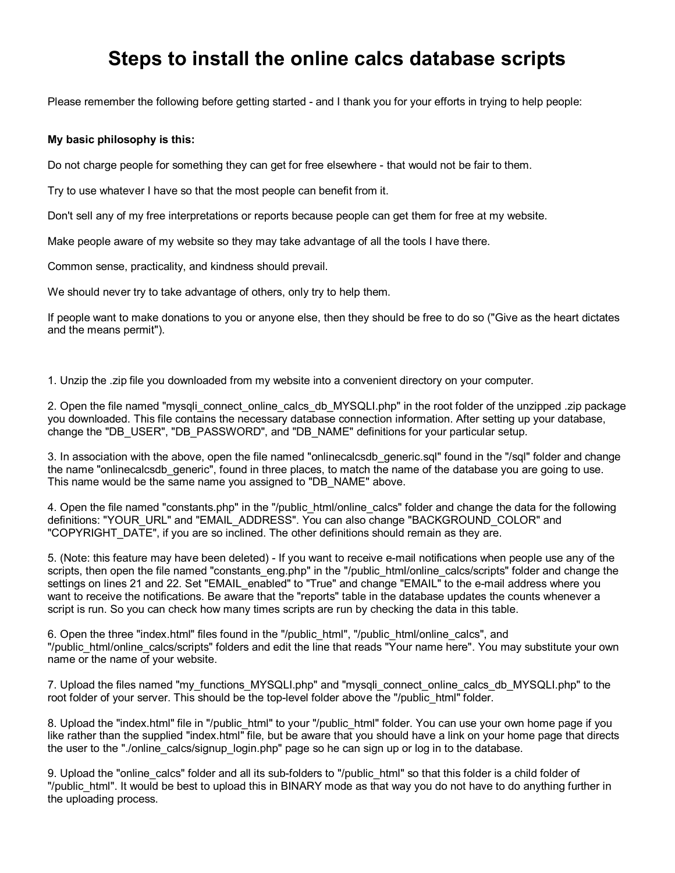## **Steps to install the online calcs database scripts**

Please remember the following before getting started - and I thank you for your efforts in trying to help people:

## **My basic philosophy is this:**

Do not charge people for something they can get for free elsewhere - that would not be fair to them.

Try to use whatever I have so that the most people can benefit from it.

Don't sell any of my free interpretations or reports because people can get them for free at my website.

Make people aware of my website so they may take advantage of all the tools I have there.

Common sense, practicality, and kindness should prevail.

We should never try to take advantage of others, only try to help them.

If people want to make donations to you or anyone else, then they should be free to do so ("Give as the heart dictates and the means permit").

1. Unzip the .zip file you downloaded from my website into a convenient directory on your computer.

2. Open the file named "mysqli\_connect\_online\_calcs\_db\_MYSQLI.php" in the root folder of the unzipped .zip package you downloaded. This file contains the necessary database connection information. After setting up your database, change the "DB\_USER", "DB\_PASSWORD", and "DB\_NAME" definitions for your particular setup.

3. In association with the above, open the file named "onlinecalcsdb generic.sql" found in the "/sql" folder and change the name "onlinecalcsdb\_generic", found in three places, to match the name of the database you are going to use. This name would be the same name you assigned to "DB\_NAME" above.

4. Open the file named "constants.php" in the "/public\_html/online\_calcs" folder and change the data for the following definitions: "YOUR\_URL" and "EMAIL\_ADDRESS". You can also change "BACKGROUND\_COLOR" and "COPYRIGHT\_DATE", if you are so inclined. The other definitions should remain as they are.

5. (Note: this feature may have been deleted) - If you want to receive e-mail notifications when people use any of the scripts, then open the file named "constants eng.php" in the "/public\_html/online\_calcs/scripts" folder and change the settings on lines 21 and 22. Set "EMAIL\_enabled" to "True" and change "EMAIL" to the e-mail address where you want to receive the notifications. Be aware that the "reports" table in the database updates the counts whenever a script is run. So you can check how many times scripts are run by checking the data in this table.

6. Open the three "index.html" files found in the "/public\_html", "/public\_html/online\_calcs", and "/public\_html/online\_calcs/scripts" folders and edit the line that reads "Your name here". You may substitute your own name or the name of your website.

7. Upload the files named "my\_functions\_MYSQLI.php" and "mysqli\_connect\_online\_calcs\_db\_MYSQLI.php" to the root folder of your server. This should be the top-level folder above the "/public\_html" folder.

8. Upload the "index.html" file in "/public\_html" to your "/public\_html" folder. You can use your own home page if you like rather than the supplied "index.html" file, but be aware that you should have a link on your home page that directs the user to the "./online\_calcs/signup\_login.php" page so he can sign up or log in to the database.

9. Upload the "online calcs" folder and all its sub-folders to "/public\_html" so that this folder is a child folder of "/public\_html". It would be best to upload this in BINARY mode as that way you do not have to do anything further in the uploading process.